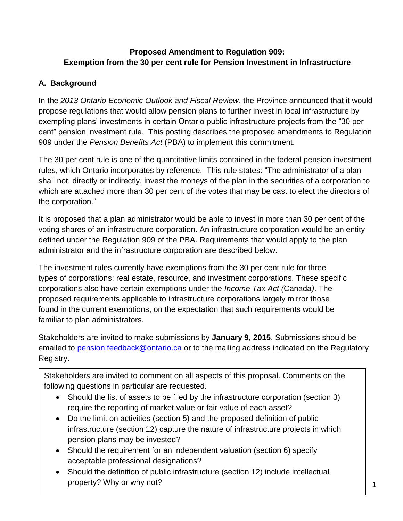## **Proposed Amendment to Regulation 909: Exemption from the 30 per cent rule for Pension Investment in Infrastructure**

## **A. Background**

In the *2013 Ontario Economic Outlook and Fiscal Review*, the Province announced that it would propose regulations that would allow pension plans to further invest in local infrastructure by exempting plans' investments in certain Ontario public infrastructure projects from the "30 per cent" pension investment rule. This posting describes the proposed amendments to Regulation 909 under the *Pension Benefits Act* (PBA) to implement this commitment.

The 30 per cent rule is one of the quantitative limits contained in the federal pension investment rules, which Ontario incorporates by reference. This rule states: "The administrator of a plan shall not, directly or indirectly, invest the moneys of the plan in the securities of a corporation to which are attached more than 30 per cent of the votes that may be cast to elect the directors of the corporation."

It is proposed that a plan administrator would be able to invest in more than 30 per cent of the voting shares of an infrastructure corporation. An infrastructure corporation would be an entity defined under the Regulation 909 of the PBA. Requirements that would apply to the plan administrator and the infrastructure corporation are described below.

The investment rules currently have exemptions from the 30 per cent rule for three types of corporations: real estate, resource, and investment corporations. These specific corporations also have certain exemptions under the *Income Tax Act (*Canada*)*. The proposed requirements applicable to infrastructure corporations largely mirror those found in the current exemptions, on the expectation that such requirements would be familiar to plan administrators.

Stakeholders are invited to make submissions by **January 9, 2015**. Submissions should be emailed to [pension.feedback@ontario.ca](mailto:pension.feedback@ontario.ca) or to the mailing address indicated on the Regulatory Registry.

Stakeholders are invited to comment on all aspects of this proposal. Comments on the following questions in particular are requested.

- Should the list of assets to be filed by the infrastructure corporation (section 3) require the reporting of market value or fair value of each asset?
- Do the limit on activities (section 5) and the proposed definition of public infrastructure (section 12) capture the nature of infrastructure projects in which pension plans may be invested?
- Should the requirement for an independent valuation (section 6) specify acceptable professional designations?
- Should the definition of public infrastructure (section 12) include intellectual property? Why or why not?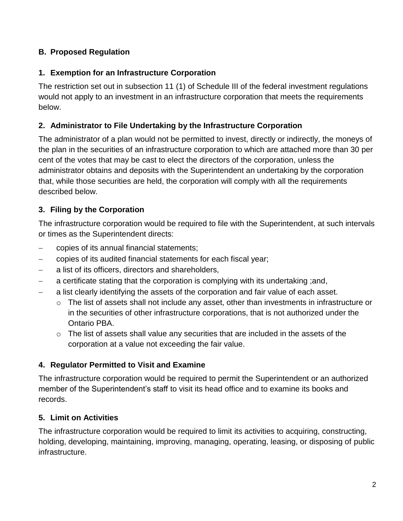## **B. Proposed Regulation**

### **1. Exemption for an Infrastructure Corporation**

The restriction set out in subsection 11 (1) of Schedule III of the federal investment regulations would not apply to an investment in an infrastructure corporation that meets the requirements below.

#### **2. Administrator to File Undertaking by the Infrastructure Corporation**

The administrator of a plan would not be permitted to invest, directly or indirectly, the moneys of the plan in the securities of an infrastructure corporation to which are attached more than 30 per cent of the votes that may be cast to elect the directors of the corporation, unless the administrator obtains and deposits with the Superintendent an undertaking by the corporation that, while those securities are held, the corporation will comply with all the requirements described below.

### **3. Filing by the Corporation**

The infrastructure corporation would be required to file with the Superintendent, at such intervals or times as the Superintendent directs:

- copies of its annual financial statements;
- copies of its audited financial statements for each fiscal year;
- a list of its officers, directors and shareholders,
- a certificate stating that the corporation is complying with its undertaking ;and,
- a list clearly identifying the assets of the corporation and fair value of each asset.
	- $\circ$  The list of assets shall not include any asset, other than investments in infrastructure or in the securities of other infrastructure corporations, that is not authorized under the Ontario PBA.
	- $\circ$  The list of assets shall value any securities that are included in the assets of the corporation at a value not exceeding the fair value.

### **4. Regulator Permitted to Visit and Examine**

The infrastructure corporation would be required to permit the Superintendent or an authorized member of the Superintendent's staff to visit its head office and to examine its books and records.

### **5. Limit on Activities**

The infrastructure corporation would be required to limit its activities to acquiring, constructing, holding, developing, maintaining, improving, managing, operating, leasing, or disposing of public infrastructure.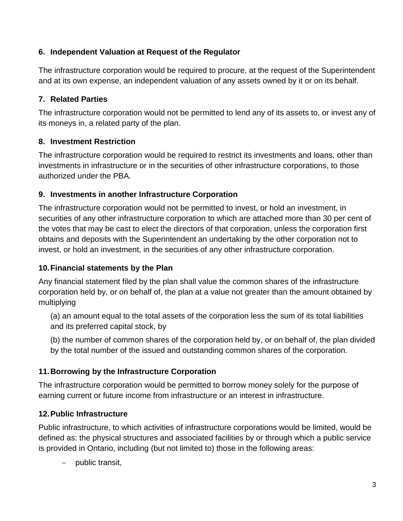## **6. Independent Valuation at Request of the Regulator**

The infrastructure corporation would be required to procure, at the request of the Superintendent and at its own expense, an independent valuation of any assets owned by it or on its behalf.

# **7. Related Parties**

The infrastructure corporation would not be permitted to lend any of its assets to, or invest any of its moneys in, a related party of the plan.

# **8. Investment Restriction**

The infrastructure corporation would be required to restrict its investments and loans, other than investments in infrastructure or in the securities of other infrastructure corporations, to those authorized under the PBA*.*

## **9. Investments in another Infrastructure Corporation**

The infrastructure corporation would not be permitted to invest, or hold an investment, in securities of any other infrastructure corporation to which are attached more than 30 per cent of the votes that may be cast to elect the directors of that corporation, unless the corporation first obtains and deposits with the Superintendent an undertaking by the other corporation not to invest, or hold an investment, in the securities of any other infrastructure corporation.

# **10.Financial statements by the Plan**

Any financial statement filed by the plan shall value the common shares of the infrastructure corporation held by, or on behalf of, the plan at a value not greater than the amount obtained by multiplying

(a) an amount equal to the total assets of the corporation less the sum of its total liabilities and its preferred capital stock, by

(b) the number of common shares of the corporation held by, or on behalf of, the plan divided by the total number of the issued and outstanding common shares of the corporation.

# **11.Borrowing by the Infrastructure Corporation**

The infrastructure corporation would be permitted to borrow money solely for the purpose of earning current or future income from infrastructure or an interest in infrastructure.

# **12.Public Infrastructure**

Public infrastructure, to which activities of infrastructure corporations would be limited, would be defined as: the physical structures and associated facilities by or through which a public service is provided in Ontario, including (but not limited to) those in the following areas:

public transit,